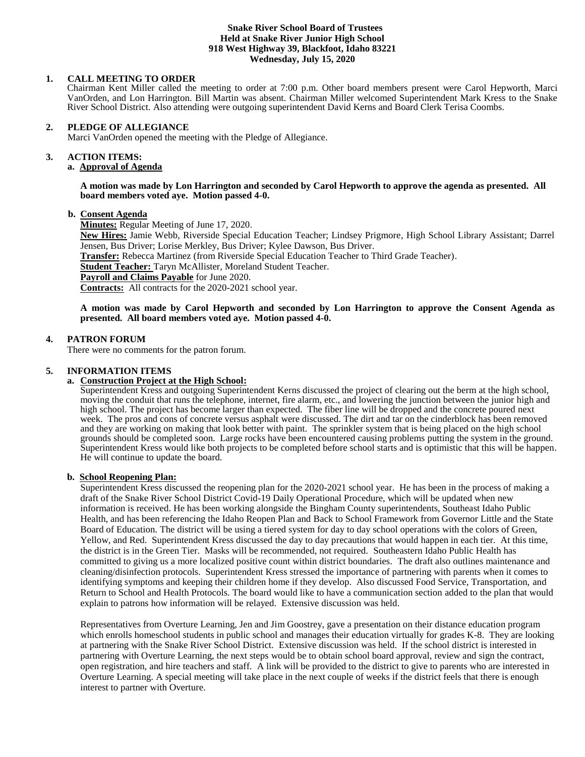#### **Snake River School Board of Trustees Held at Snake River Junior High School 918 West Highway 39, Blackfoot, Idaho 83221 Wednesday, July 15, 2020**

# **1. CALL MEETING TO ORDER**

Chairman Kent Miller called the meeting to order at 7:00 p.m. Other board members present were Carol Hepworth, Marci VanOrden, and Lon Harrington. Bill Martin was absent. Chairman Miller welcomed Superintendent Mark Kress to the Snake River School District. Also attending were outgoing superintendent David Kerns and Board Clerk Terisa Coombs.

#### **2. PLEDGE OF ALLEGIANCE**

Marci VanOrden opened the meeting with the Pledge of Allegiance.

#### 3. **3. ACTION ITEMS:**

**a. Approval of Agenda**

#### **A motion was made by Lon Harrington and seconded by Carol Hepworth to approve the agenda as presented. All board members voted aye. Motion passed 4-0.**

#### **b. Consent Agenda**

**Minutes:** Regular Meeting of June 17, 2020.

**New Hires:** Jamie Webb, Riverside Special Education Teacher; Lindsey Prigmore, High School Library Assistant; Darrel Jensen, Bus Driver; Lorise Merkley, Bus Driver; Kylee Dawson, Bus Driver.

**Transfer:** Rebecca Martinez (from Riverside Special Education Teacher to Third Grade Teacher).

**Student Teacher:** Taryn McAllister, Moreland Student Teacher.

**Payroll and Claims Payable** for June 2020.

**Contracts:** All contracts for the 2020-2021 school year.

**A motion was made by Carol Hepworth and seconded by Lon Harrington to approve the Consent Agenda as presented. All board members voted aye. Motion passed 4-0.**

# **4. PATRON FORUM**

There were no comments for the patron forum.

# **5. INFORMATION ITEMS**

### **a. Construction Project at the High School:**

Superintendent Kress and outgoing Superintendent Kerns discussed the project of clearing out the berm at the high school, moving the conduit that runs the telephone, internet, fire alarm, etc., and lowering the junction between the junior high and high school. The project has become larger than expected. The fiber line will be dropped and the concrete poured next week. The pros and cons of concrete versus asphalt were discussed. The dirt and tar on the cinderblock has been removed and they are working on making that look better with paint. The sprinkler system that is being placed on the high school grounds should be completed soon. Large rocks have been encountered causing problems putting the system in the ground. Superintendent Kress would like both projects to be completed before school starts and is optimistic that this will be happen. He will continue to update the board.

### **b. School Reopening Plan:**

Superintendent Kress discussed the reopening plan for the 2020-2021 school year. He has been in the process of making a draft of the Snake River School District Covid-19 Daily Operational Procedure, which will be updated when new information is received. He has been working alongside the Bingham County superintendents, Southeast Idaho Public Health, and has been referencing the Idaho Reopen Plan and Back to School Framework from Governor Little and the State Board of Education. The district will be using a tiered system for day to day school operations with the colors of Green, Yellow, and Red. Superintendent Kress discussed the day to day precautions that would happen in each tier. At this time, the district is in the Green Tier. Masks will be recommended, not required. Southeastern Idaho Public Health has committed to giving us a more localized positive count within district boundaries. The draft also outlines maintenance and cleaning/disinfection protocols. Superintendent Kress stressed the importance of partnering with parents when it comes to identifying symptoms and keeping their children home if they develop. Also discussed Food Service, Transportation, and Return to School and Health Protocols. The board would like to have a communication section added to the plan that would explain to patrons how information will be relayed. Extensive discussion was held.

Representatives from Overture Learning, Jen and Jim Goostrey, gave a presentation on their distance education program which enrolls homeschool students in public school and manages their education virtually for grades K-8. They are looking at partnering with the Snake River School District. Extensive discussion was held. If the school district is interested in partnering with Overture Learning, the next steps would be to obtain school board approval, review and sign the contract, open registration, and hire teachers and staff. A link will be provided to the district to give to parents who are interested in Overture Learning. A special meeting will take place in the next couple of weeks if the district feels that there is enough interest to partner with Overture.